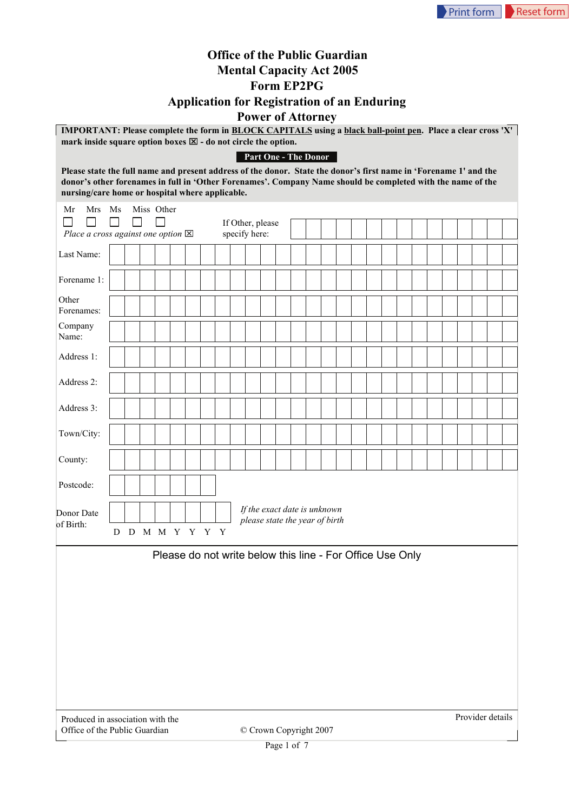## **Office of the Public Guardian Mental Capacity Act 2005 Form EP2PG Application for Registration of an Enduring Power of Attorney**

**IMPORTANT: Please complete the form in BLOCK CAPITALS using a black ball-point pen. Place a clear cross 'X'**  mark inside square option boxes  $\boxtimes$  - do not circle the option.

## **Part One - The Donor**

**Please state the full name and present address of the donor. State the donor's first name in 'Forename 1' and the donor's other forenames in full in 'Other Forenames'. Company Name should be completed with the name of the nursing/care home or hospital where applicable.**

| $\mathbf{m}$ and $\mathbf{m}$<br>Mrs Ms<br>Mr     | re nome or nospitar where app |                 | Miss Other |        |  |                                                           |                                                                |  |  |  |  |  |  |  |  |  |
|---------------------------------------------------|-------------------------------|-----------------|------------|--------|--|-----------------------------------------------------------|----------------------------------------------------------------|--|--|--|--|--|--|--|--|--|
| П<br>Place a cross against one option $\boxtimes$ |                               | ГΙ              |            | $\Box$ |  |                                                           | If Other, please<br>specify here:                              |  |  |  |  |  |  |  |  |  |
| Last Name:                                        |                               |                 |            |        |  |                                                           |                                                                |  |  |  |  |  |  |  |  |  |
| Forename 1:                                       |                               |                 |            |        |  |                                                           |                                                                |  |  |  |  |  |  |  |  |  |
| Other<br>Forenames:                               |                               |                 |            |        |  |                                                           |                                                                |  |  |  |  |  |  |  |  |  |
| Company<br>Name:                                  |                               |                 |            |        |  |                                                           |                                                                |  |  |  |  |  |  |  |  |  |
| Address 1:                                        |                               |                 |            |        |  |                                                           |                                                                |  |  |  |  |  |  |  |  |  |
| Address 2:                                        |                               |                 |            |        |  |                                                           |                                                                |  |  |  |  |  |  |  |  |  |
| Address 3:                                        |                               |                 |            |        |  |                                                           |                                                                |  |  |  |  |  |  |  |  |  |
| Town/City:                                        |                               |                 |            |        |  |                                                           |                                                                |  |  |  |  |  |  |  |  |  |
| County:                                           |                               |                 |            |        |  |                                                           |                                                                |  |  |  |  |  |  |  |  |  |
| Postcode:                                         |                               |                 |            |        |  |                                                           |                                                                |  |  |  |  |  |  |  |  |  |
| Donor Date<br>of Birth:                           |                               |                 |            |        |  |                                                           | If the exact date is unknown<br>please state the year of birth |  |  |  |  |  |  |  |  |  |
|                                                   |                               | D D M M Y Y Y Y |            |        |  |                                                           |                                                                |  |  |  |  |  |  |  |  |  |
|                                                   |                               |                 |            |        |  | Please do not write below this line - For Office Use Only |                                                                |  |  |  |  |  |  |  |  |  |
|                                                   |                               |                 |            |        |  |                                                           |                                                                |  |  |  |  |  |  |  |  |  |
|                                                   |                               |                 |            |        |  |                                                           |                                                                |  |  |  |  |  |  |  |  |  |
|                                                   |                               |                 |            |        |  |                                                           |                                                                |  |  |  |  |  |  |  |  |  |
|                                                   |                               |                 |            |        |  |                                                           |                                                                |  |  |  |  |  |  |  |  |  |
|                                                   |                               |                 |            |        |  |                                                           |                                                                |  |  |  |  |  |  |  |  |  |
|                                                   |                               |                 |            |        |  |                                                           |                                                                |  |  |  |  |  |  |  |  |  |

Produced in association with the Office of the Public Guardian © Crown Copyright 2007

Provider details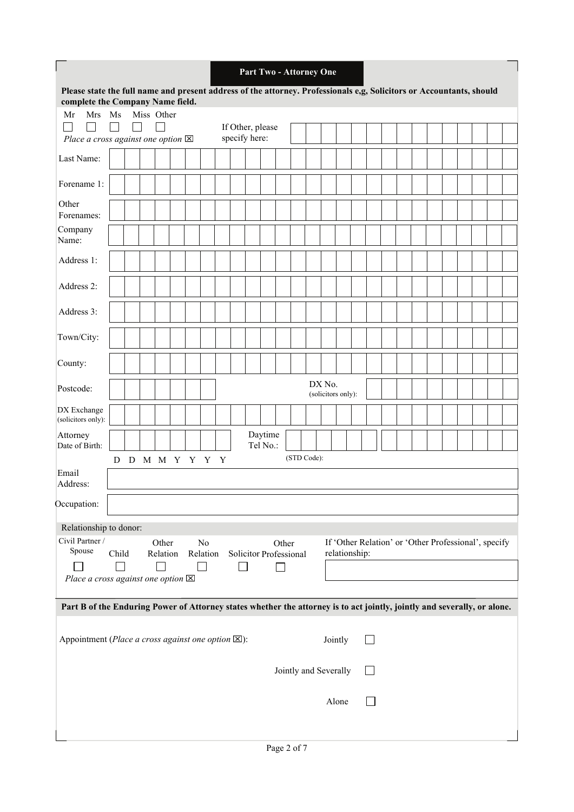|                                                                                                                                                          |                    |  |  |                   |                 |  |                            |  |  |                                   |                     |       |  | Part Two - Attorney One |  |               |  |  |  |                                                      |  |  |  |
|----------------------------------------------------------------------------------------------------------------------------------------------------------|--------------------|--|--|-------------------|-----------------|--|----------------------------|--|--|-----------------------------------|---------------------|-------|--|-------------------------|--|---------------|--|--|--|------------------------------------------------------|--|--|--|
| Please state the full name and present address of the attorney. Professionals e,g, Solicitors or Accountants, should<br>complete the Company Name field. |                    |  |  |                   |                 |  |                            |  |  |                                   |                     |       |  |                         |  |               |  |  |  |                                                      |  |  |  |
| Mrs<br>Mr                                                                                                                                                | Ms                 |  |  | Miss Other        |                 |  |                            |  |  |                                   |                     |       |  |                         |  |               |  |  |  |                                                      |  |  |  |
| Place a cross against one option $\boxtimes$                                                                                                             | $\mathbf{I}$       |  |  |                   |                 |  |                            |  |  | If Other, please<br>specify here: |                     |       |  |                         |  |               |  |  |  |                                                      |  |  |  |
| Last Name:                                                                                                                                               |                    |  |  |                   |                 |  |                            |  |  |                                   |                     |       |  |                         |  |               |  |  |  |                                                      |  |  |  |
| Forename 1:                                                                                                                                              |                    |  |  |                   |                 |  |                            |  |  |                                   |                     |       |  |                         |  |               |  |  |  |                                                      |  |  |  |
| Other<br>Forenames:                                                                                                                                      |                    |  |  |                   |                 |  |                            |  |  |                                   |                     |       |  |                         |  |               |  |  |  |                                                      |  |  |  |
| Company<br>Name:                                                                                                                                         |                    |  |  |                   |                 |  |                            |  |  |                                   |                     |       |  |                         |  |               |  |  |  |                                                      |  |  |  |
| Address 1:                                                                                                                                               |                    |  |  |                   |                 |  |                            |  |  |                                   |                     |       |  |                         |  |               |  |  |  |                                                      |  |  |  |
| Address 2:                                                                                                                                               |                    |  |  |                   |                 |  |                            |  |  |                                   |                     |       |  |                         |  |               |  |  |  |                                                      |  |  |  |
| Address 3:                                                                                                                                               |                    |  |  |                   |                 |  |                            |  |  |                                   |                     |       |  |                         |  |               |  |  |  |                                                      |  |  |  |
| Town/City:                                                                                                                                               |                    |  |  |                   |                 |  |                            |  |  |                                   |                     |       |  |                         |  |               |  |  |  |                                                      |  |  |  |
| County:                                                                                                                                                  | DX No.             |  |  |                   |                 |  |                            |  |  |                                   |                     |       |  |                         |  |               |  |  |  |                                                      |  |  |  |
| Postcode:                                                                                                                                                | (solicitors only): |  |  |                   |                 |  |                            |  |  |                                   |                     |       |  |                         |  |               |  |  |  |                                                      |  |  |  |
| DX Exchange<br>(solicitors only):                                                                                                                        |                    |  |  |                   |                 |  |                            |  |  |                                   |                     |       |  |                         |  |               |  |  |  |                                                      |  |  |  |
| Attorney<br>Date of Birth:                                                                                                                               |                    |  |  |                   |                 |  |                            |  |  |                                   | Daytime<br>Tel No.: |       |  |                         |  |               |  |  |  |                                                      |  |  |  |
| Email                                                                                                                                                    |                    |  |  |                   | D D M M Y Y Y Y |  |                            |  |  |                                   |                     |       |  | (STD Code):             |  |               |  |  |  |                                                      |  |  |  |
| Address:                                                                                                                                                 |                    |  |  |                   |                 |  |                            |  |  |                                   |                     |       |  |                         |  |               |  |  |  |                                                      |  |  |  |
| Occupation:                                                                                                                                              |                    |  |  |                   |                 |  |                            |  |  |                                   |                     |       |  |                         |  |               |  |  |  |                                                      |  |  |  |
| Relationship to donor:                                                                                                                                   |                    |  |  |                   |                 |  |                            |  |  |                                   |                     |       |  |                         |  |               |  |  |  |                                                      |  |  |  |
| Civil Partner /<br>Spouse                                                                                                                                | Child              |  |  | Other<br>Relation |                 |  | N <sub>0</sub><br>Relation |  |  | Solicitor Professional            |                     | Other |  |                         |  | relationship: |  |  |  | If 'Other Relation' or 'Other Professional', specify |  |  |  |
| Place a cross against one option $\boxtimes$                                                                                                             |                    |  |  |                   |                 |  |                            |  |  |                                   |                     |       |  |                         |  |               |  |  |  |                                                      |  |  |  |
| Part B of the Enduring Power of Attorney states whether the attorney is to act jointly, jointly and severally, or alone.                                 |                    |  |  |                   |                 |  |                            |  |  |                                   |                     |       |  |                         |  |               |  |  |  |                                                      |  |  |  |
| Appointment (Place a cross against one option $[×]$ ):                                                                                                   |                    |  |  |                   |                 |  |                            |  |  |                                   |                     |       |  |                         |  | Jointly       |  |  |  |                                                      |  |  |  |
|                                                                                                                                                          |                    |  |  |                   |                 |  |                            |  |  |                                   |                     |       |  |                         |  |               |  |  |  |                                                      |  |  |  |
|                                                                                                                                                          |                    |  |  |                   |                 |  |                            |  |  |                                   |                     |       |  | Jointly and Severally   |  |               |  |  |  |                                                      |  |  |  |
|                                                                                                                                                          |                    |  |  |                   |                 |  |                            |  |  |                                   |                     |       |  |                         |  | Alone         |  |  |  |                                                      |  |  |  |
|                                                                                                                                                          |                    |  |  |                   |                 |  |                            |  |  |                                   |                     |       |  |                         |  |               |  |  |  |                                                      |  |  |  |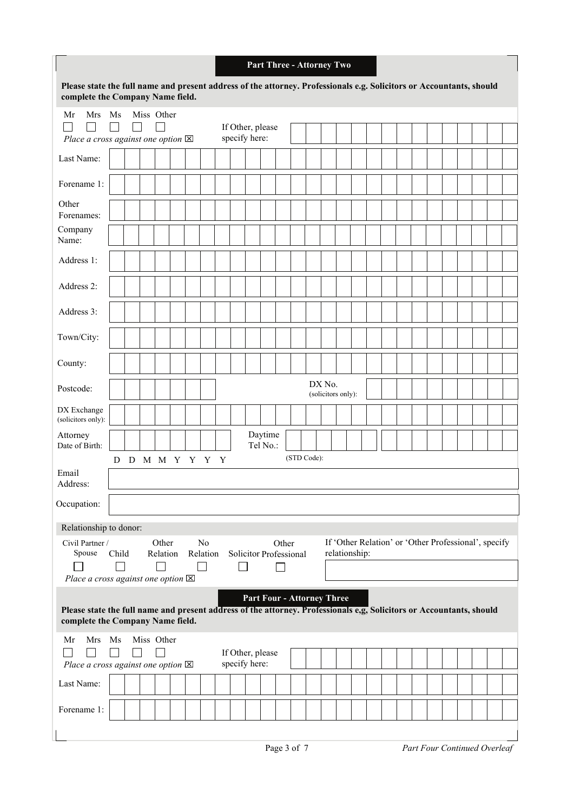|                                                                                                                                                          |                    |               |  |                   |  |  |                |  |               |  |                     |                                 |  | Part Three - Attorney Two         |  |               |  |  |  |  |                                                      |  |  |
|----------------------------------------------------------------------------------------------------------------------------------------------------------|--------------------|---------------|--|-------------------|--|--|----------------|--|---------------|--|---------------------|---------------------------------|--|-----------------------------------|--|---------------|--|--|--|--|------------------------------------------------------|--|--|
| Please state the full name and present address of the attorney. Professionals e.g. Solicitors or Accountants, should<br>complete the Company Name field. |                    |               |  |                   |  |  |                |  |               |  |                     |                                 |  |                                   |  |               |  |  |  |  |                                                      |  |  |
| Mr<br>Mrs<br>Place a cross against one option $\boxtimes$                                                                                                | Ms                 | $\mathbf{L}$  |  | Miss Other        |  |  |                |  | specify here: |  | If Other, please    |                                 |  |                                   |  |               |  |  |  |  |                                                      |  |  |
| Last Name:                                                                                                                                               |                    |               |  |                   |  |  |                |  |               |  |                     |                                 |  |                                   |  |               |  |  |  |  |                                                      |  |  |
| Forename 1:                                                                                                                                              |                    |               |  |                   |  |  |                |  |               |  |                     |                                 |  |                                   |  |               |  |  |  |  |                                                      |  |  |
| Other<br>Forenames:                                                                                                                                      |                    |               |  |                   |  |  |                |  |               |  |                     |                                 |  |                                   |  |               |  |  |  |  |                                                      |  |  |
| Company<br>Name:                                                                                                                                         |                    |               |  |                   |  |  |                |  |               |  |                     |                                 |  |                                   |  |               |  |  |  |  |                                                      |  |  |
| Address 1:                                                                                                                                               |                    |               |  |                   |  |  |                |  |               |  |                     |                                 |  |                                   |  |               |  |  |  |  |                                                      |  |  |
| Address 2:                                                                                                                                               |                    |               |  |                   |  |  |                |  |               |  |                     |                                 |  |                                   |  |               |  |  |  |  |                                                      |  |  |
| Address 3:                                                                                                                                               |                    |               |  |                   |  |  |                |  |               |  |                     |                                 |  |                                   |  |               |  |  |  |  |                                                      |  |  |
| Town/City:                                                                                                                                               |                    |               |  |                   |  |  |                |  |               |  |                     |                                 |  |                                   |  |               |  |  |  |  |                                                      |  |  |
| County:                                                                                                                                                  | DX No.             |               |  |                   |  |  |                |  |               |  |                     |                                 |  |                                   |  |               |  |  |  |  |                                                      |  |  |
| Postcode:                                                                                                                                                | (solicitors only): |               |  |                   |  |  |                |  |               |  |                     |                                 |  |                                   |  |               |  |  |  |  |                                                      |  |  |
| DX Exchange<br>(solicitors only):                                                                                                                        |                    |               |  |                   |  |  |                |  |               |  |                     |                                 |  |                                   |  |               |  |  |  |  |                                                      |  |  |
| Attorney<br>Date of Birth:                                                                                                                               |                    |               |  |                   |  |  |                |  |               |  | Daytime<br>Tel No.: |                                 |  |                                   |  |               |  |  |  |  |                                                      |  |  |
| Email<br>Address:                                                                                                                                        | D                  | D M M Y Y Y Y |  |                   |  |  |                |  |               |  |                     |                                 |  | (STD Code):                       |  |               |  |  |  |  |                                                      |  |  |
| Occupation:                                                                                                                                              |                    |               |  |                   |  |  |                |  |               |  |                     |                                 |  |                                   |  |               |  |  |  |  |                                                      |  |  |
| Relationship to donor:                                                                                                                                   |                    |               |  |                   |  |  |                |  |               |  |                     |                                 |  |                                   |  |               |  |  |  |  |                                                      |  |  |
| Civil Partner /<br>Spouse<br>Place a cross against one option $\boxtimes$                                                                                | Child              |               |  | Other<br>Relation |  |  | No<br>Relation |  |               |  |                     | Other<br>Solicitor Professional |  |                                   |  | relationship: |  |  |  |  | If 'Other Relation' or 'Other Professional', specify |  |  |
| Please state the full name and present address of the attorney. Professionals e.g. Solicitors or Accountants, should<br>complete the Company Name field. |                    |               |  |                   |  |  |                |  |               |  |                     |                                 |  | <b>Part Four - Attorney Three</b> |  |               |  |  |  |  |                                                      |  |  |
| Mr<br>Mrs<br>Place a cross against one option $\boxtimes$                                                                                                | Ms<br>$\sim$       | $\mathbf{L}$  |  | Miss Other        |  |  |                |  | specify here: |  | If Other, please    |                                 |  |                                   |  |               |  |  |  |  |                                                      |  |  |
| Last Name:                                                                                                                                               |                    |               |  |                   |  |  |                |  |               |  |                     |                                 |  |                                   |  |               |  |  |  |  |                                                      |  |  |
| Forename 1:                                                                                                                                              |                    |               |  |                   |  |  |                |  |               |  |                     |                                 |  |                                   |  |               |  |  |  |  |                                                      |  |  |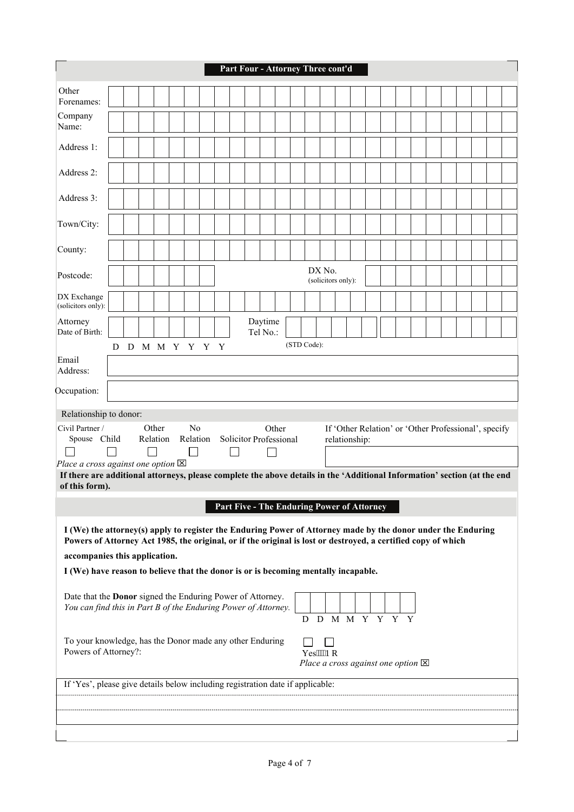|                                                                                                                                                                                                                                                                                                                                                                                                                                         |                                                |  |  |  |  |  |  |  |  |  |  |  |  |          |  | Part Four - Attorney Three cont'd            |  |  |  |  |  |  |
|-----------------------------------------------------------------------------------------------------------------------------------------------------------------------------------------------------------------------------------------------------------------------------------------------------------------------------------------------------------------------------------------------------------------------------------------|------------------------------------------------|--|--|--|--|--|--|--|--|--|--|--|--|----------|--|----------------------------------------------|--|--|--|--|--|--|
| Other<br>Forenames:                                                                                                                                                                                                                                                                                                                                                                                                                     |                                                |  |  |  |  |  |  |  |  |  |  |  |  |          |  |                                              |  |  |  |  |  |  |
| Company<br>Name:                                                                                                                                                                                                                                                                                                                                                                                                                        |                                                |  |  |  |  |  |  |  |  |  |  |  |  |          |  |                                              |  |  |  |  |  |  |
| Address 1:                                                                                                                                                                                                                                                                                                                                                                                                                              |                                                |  |  |  |  |  |  |  |  |  |  |  |  |          |  |                                              |  |  |  |  |  |  |
| Address 2:                                                                                                                                                                                                                                                                                                                                                                                                                              |                                                |  |  |  |  |  |  |  |  |  |  |  |  |          |  |                                              |  |  |  |  |  |  |
| Address 3:                                                                                                                                                                                                                                                                                                                                                                                                                              |                                                |  |  |  |  |  |  |  |  |  |  |  |  |          |  |                                              |  |  |  |  |  |  |
| Town/City:                                                                                                                                                                                                                                                                                                                                                                                                                              |                                                |  |  |  |  |  |  |  |  |  |  |  |  |          |  |                                              |  |  |  |  |  |  |
| County:                                                                                                                                                                                                                                                                                                                                                                                                                                 | DX No.                                         |  |  |  |  |  |  |  |  |  |  |  |  |          |  |                                              |  |  |  |  |  |  |
| Postcode:                                                                                                                                                                                                                                                                                                                                                                                                                               | (solicitors only):                             |  |  |  |  |  |  |  |  |  |  |  |  |          |  |                                              |  |  |  |  |  |  |
| DX Exchange<br>(solicitors only):                                                                                                                                                                                                                                                                                                                                                                                                       | Daytime                                        |  |  |  |  |  |  |  |  |  |  |  |  |          |  |                                              |  |  |  |  |  |  |
| Attorney<br>Date of Birth:                                                                                                                                                                                                                                                                                                                                                                                                              | Tel No.:<br>(STD Code):<br>D M M Y Y Y Y<br>D. |  |  |  |  |  |  |  |  |  |  |  |  |          |  |                                              |  |  |  |  |  |  |
| Email<br>Address:<br>Occupation:                                                                                                                                                                                                                                                                                                                                                                                                        |                                                |  |  |  |  |  |  |  |  |  |  |  |  |          |  |                                              |  |  |  |  |  |  |
| Relationship to donor:<br>N <sub>0</sub><br>Other<br>Other<br>Civil Partner /<br>If 'Other Relation' or 'Other Professional', specify<br>Solicitor Professional<br>Spouse Child<br>Relation<br>Relation<br>relationship:<br>$\mathcal{L}$<br>Place a cross against one option $\boxtimes$<br>If there are additional attorneys, please complete the above details in the 'Additional Information' section (at the end<br>of this form). |                                                |  |  |  |  |  |  |  |  |  |  |  |  |          |  |                                              |  |  |  |  |  |  |
| I (We) the attorney(s) apply to register the Enduring Power of Attorney made by the donor under the Enduring<br>Powers of Attorney Act 1985, the original, or if the original is lost or destroyed, a certified copy of which<br>accompanies this application.<br>I (We) have reason to believe that the donor is or is becoming mentally incapable.                                                                                    |                                                |  |  |  |  |  |  |  |  |  |  |  |  |          |  | Part Five - The Enduring Power of Attorney   |  |  |  |  |  |  |
| Date that the <b>Donor</b> signed the Enduring Power of Attorney.<br>You can find this in Part B of the Enduring Power of Attorney.                                                                                                                                                                                                                                                                                                     |                                                |  |  |  |  |  |  |  |  |  |  |  |  |          |  | D D M M Y Y Y Y                              |  |  |  |  |  |  |
| To your knowledge, has the Donor made any other Enduring<br>Powers of Attorney?:                                                                                                                                                                                                                                                                                                                                                        |                                                |  |  |  |  |  |  |  |  |  |  |  |  | Yes"""Pq |  | Place a cross against one option $\boxtimes$ |  |  |  |  |  |  |
| If 'Yes', please give details below including registration date if applicable:                                                                                                                                                                                                                                                                                                                                                          |                                                |  |  |  |  |  |  |  |  |  |  |  |  |          |  |                                              |  |  |  |  |  |  |
|                                                                                                                                                                                                                                                                                                                                                                                                                                         |                                                |  |  |  |  |  |  |  |  |  |  |  |  |          |  |                                              |  |  |  |  |  |  |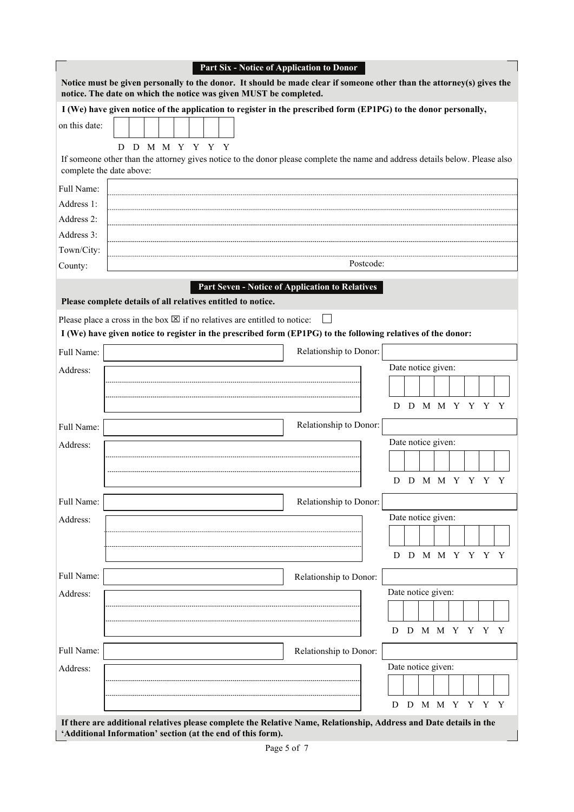|               | Part Six - Notice of Application to Donor                                                                                                                                                           |                    |  |  |                 |  |  |  |  |  |  |  |  |  |  |
|---------------|-----------------------------------------------------------------------------------------------------------------------------------------------------------------------------------------------------|--------------------|--|--|-----------------|--|--|--|--|--|--|--|--|--|--|
|               | Notice must be given personally to the donor. It should be made clear if someone other than the attorney(s) gives the<br>notice. The date on which the notice was given MUST be completed.          |                    |  |  |                 |  |  |  |  |  |  |  |  |  |  |
|               | I (We) have given notice of the application to register in the prescribed form (EP1PG) to the donor personally,                                                                                     |                    |  |  |                 |  |  |  |  |  |  |  |  |  |  |
| on this date: |                                                                                                                                                                                                     |                    |  |  |                 |  |  |  |  |  |  |  |  |  |  |
|               | D D M M Y Y Y Y                                                                                                                                                                                     |                    |  |  |                 |  |  |  |  |  |  |  |  |  |  |
|               | If someone other than the attorney gives notice to the donor please complete the name and address details below. Please also<br>complete the date above:                                            |                    |  |  |                 |  |  |  |  |  |  |  |  |  |  |
| Full Name:    |                                                                                                                                                                                                     |                    |  |  |                 |  |  |  |  |  |  |  |  |  |  |
| Address 1:    |                                                                                                                                                                                                     |                    |  |  |                 |  |  |  |  |  |  |  |  |  |  |
| Address 2:    |                                                                                                                                                                                                     |                    |  |  |                 |  |  |  |  |  |  |  |  |  |  |
| Address 3:    |                                                                                                                                                                                                     |                    |  |  |                 |  |  |  |  |  |  |  |  |  |  |
| Town/City:    |                                                                                                                                                                                                     |                    |  |  |                 |  |  |  |  |  |  |  |  |  |  |
| County:       | Postcode:                                                                                                                                                                                           |                    |  |  |                 |  |  |  |  |  |  |  |  |  |  |
|               | <b>Part Seven - Notice of Application to Relatives</b><br>Please complete details of all relatives entitled to notice.<br>$\perp$                                                                   |                    |  |  |                 |  |  |  |  |  |  |  |  |  |  |
|               | Please place a cross in the box $\boxtimes$ if no relatives are entitled to notice:<br>I (We) have given notice to register in the prescribed form (EP1PG) to the following relatives of the donor: |                    |  |  |                 |  |  |  |  |  |  |  |  |  |  |
|               |                                                                                                                                                                                                     |                    |  |  |                 |  |  |  |  |  |  |  |  |  |  |
| Full Name:    | Relationship to Donor:                                                                                                                                                                              |                    |  |  |                 |  |  |  |  |  |  |  |  |  |  |
| Address:      | Date notice given:                                                                                                                                                                                  |                    |  |  |                 |  |  |  |  |  |  |  |  |  |  |
|               |                                                                                                                                                                                                     |                    |  |  |                 |  |  |  |  |  |  |  |  |  |  |
|               |                                                                                                                                                                                                     |                    |  |  | D D M M Y Y Y Y |  |  |  |  |  |  |  |  |  |  |
| Full Name:    | Relationship to Donor:                                                                                                                                                                              |                    |  |  |                 |  |  |  |  |  |  |  |  |  |  |
| Address:      |                                                                                                                                                                                                     | Date notice given: |  |  |                 |  |  |  |  |  |  |  |  |  |  |
|               |                                                                                                                                                                                                     |                    |  |  |                 |  |  |  |  |  |  |  |  |  |  |
|               |                                                                                                                                                                                                     |                    |  |  | D D M M Y Y Y Y |  |  |  |  |  |  |  |  |  |  |
| Full Name:    | Relationship to Donor:                                                                                                                                                                              |                    |  |  |                 |  |  |  |  |  |  |  |  |  |  |
| Address:      |                                                                                                                                                                                                     | Date notice given: |  |  |                 |  |  |  |  |  |  |  |  |  |  |
|               |                                                                                                                                                                                                     |                    |  |  |                 |  |  |  |  |  |  |  |  |  |  |
|               |                                                                                                                                                                                                     |                    |  |  | D D M M Y Y Y Y |  |  |  |  |  |  |  |  |  |  |
| Full Name:    | Relationship to Donor:                                                                                                                                                                              |                    |  |  |                 |  |  |  |  |  |  |  |  |  |  |
| Address:      |                                                                                                                                                                                                     | Date notice given: |  |  |                 |  |  |  |  |  |  |  |  |  |  |
|               |                                                                                                                                                                                                     |                    |  |  |                 |  |  |  |  |  |  |  |  |  |  |
|               | D                                                                                                                                                                                                   |                    |  |  | D M M Y Y Y Y   |  |  |  |  |  |  |  |  |  |  |
| Full Name:    | Relationship to Donor:                                                                                                                                                                              |                    |  |  |                 |  |  |  |  |  |  |  |  |  |  |
| Address:      |                                                                                                                                                                                                     | Date notice given: |  |  |                 |  |  |  |  |  |  |  |  |  |  |
|               |                                                                                                                                                                                                     |                    |  |  |                 |  |  |  |  |  |  |  |  |  |  |
|               | D                                                                                                                                                                                                   | D                  |  |  | M M Y Y Y Y     |  |  |  |  |  |  |  |  |  |  |
|               | If there are additional relatives please complete the Relative Name, Relationship, Address and Date details in the<br>'Additional Information' section (at the end of this form).                   |                    |  |  |                 |  |  |  |  |  |  |  |  |  |  |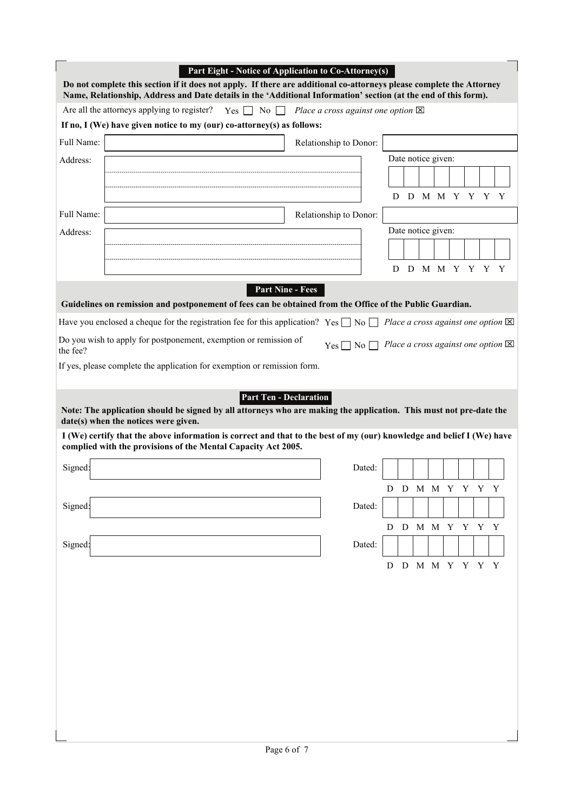|            | Part Eight - Notice of Application to Co-Attorney(s)<br>Do not complete this section if it does not apply. If there are additional co-attorneys please complete the Attorney<br>Name, Relationship, Address and Date details in the 'Additional Information' section (at the end of this form). |                                                                                                           |   |                    |  |  |  |
|------------|-------------------------------------------------------------------------------------------------------------------------------------------------------------------------------------------------------------------------------------------------------------------------------------------------|-----------------------------------------------------------------------------------------------------------|---|--------------------|--|--|--|
|            | Are all the attorneys applying to register? Yes $\Box$ No $\Box$ Place a cross against one option $\boxtimes$                                                                                                                                                                                   |                                                                                                           |   |                    |  |  |  |
|            | If no, I (We) have given notice to my (our) co-attorney(s) as follows:                                                                                                                                                                                                                          |                                                                                                           |   |                    |  |  |  |
| Full Name: |                                                                                                                                                                                                                                                                                                 | Relationship to Donor:                                                                                    |   |                    |  |  |  |
| Address:   |                                                                                                                                                                                                                                                                                                 |                                                                                                           |   | Date notice given: |  |  |  |
|            |                                                                                                                                                                                                                                                                                                 |                                                                                                           |   |                    |  |  |  |
|            |                                                                                                                                                                                                                                                                                                 |                                                                                                           | D | D M M Y Y Y Y      |  |  |  |
| Full Name: |                                                                                                                                                                                                                                                                                                 | Relationship to Donor:                                                                                    |   |                    |  |  |  |
| Address:   |                                                                                                                                                                                                                                                                                                 |                                                                                                           |   | Date notice given: |  |  |  |
|            |                                                                                                                                                                                                                                                                                                 |                                                                                                           |   |                    |  |  |  |
|            |                                                                                                                                                                                                                                                                                                 |                                                                                                           | D | D M M Y Y Y Y      |  |  |  |
|            | <b>Part Nine - Fees</b><br>Guidelines on remission and postponement of fees can be obtained from the Office of the Public Guardian.                                                                                                                                                             |                                                                                                           |   |                    |  |  |  |
|            | Have you enclosed a cheque for the registration fee for this application? Yes $\Box$ No $\Box$ Place a cross against one option $\boxtimes$                                                                                                                                                     |                                                                                                           |   |                    |  |  |  |
| the fee?   | Do you wish to apply for postponement, exemption or remission of                                                                                                                                                                                                                                | $Yes \nightharpoonup No \nightharpoonup Place a cross against one option \nightharpoonup \nightharpoonup$ |   |                    |  |  |  |
|            | If yes, please complete the application for exemption or remission form.                                                                                                                                                                                                                        |                                                                                                           |   |                    |  |  |  |
|            |                                                                                                                                                                                                                                                                                                 |                                                                                                           |   |                    |  |  |  |
|            | <b>Part Ten - Declaration</b><br>Note: The application should be signed by all attorneys who are making the application. This must not pre-date the<br>date(s) when the notices were given.                                                                                                     |                                                                                                           |   |                    |  |  |  |
|            | I (We) certify that the above information is correct and that to the best of my (our) knowledge and belief I (We) have<br>complied with the provisions of the Mental Capacity Act 2005.                                                                                                         |                                                                                                           |   |                    |  |  |  |
| Signed:    |                                                                                                                                                                                                                                                                                                 | Dated:                                                                                                    |   |                    |  |  |  |
|            |                                                                                                                                                                                                                                                                                                 |                                                                                                           |   | D D M M Y Y Y Y    |  |  |  |
| Signed:    |                                                                                                                                                                                                                                                                                                 | Dated:                                                                                                    |   |                    |  |  |  |
|            |                                                                                                                                                                                                                                                                                                 |                                                                                                           |   | D D M M Y Y Y Y    |  |  |  |
| Signed:    |                                                                                                                                                                                                                                                                                                 | Dated:                                                                                                    |   |                    |  |  |  |
|            |                                                                                                                                                                                                                                                                                                 |                                                                                                           | D | D M M Y Y Y Y      |  |  |  |
|            |                                                                                                                                                                                                                                                                                                 |                                                                                                           |   |                    |  |  |  |
|            |                                                                                                                                                                                                                                                                                                 |                                                                                                           |   |                    |  |  |  |
|            |                                                                                                                                                                                                                                                                                                 |                                                                                                           |   |                    |  |  |  |
|            |                                                                                                                                                                                                                                                                                                 |                                                                                                           |   |                    |  |  |  |
|            |                                                                                                                                                                                                                                                                                                 |                                                                                                           |   |                    |  |  |  |
|            |                                                                                                                                                                                                                                                                                                 |                                                                                                           |   |                    |  |  |  |
|            |                                                                                                                                                                                                                                                                                                 |                                                                                                           |   |                    |  |  |  |
|            |                                                                                                                                                                                                                                                                                                 |                                                                                                           |   |                    |  |  |  |
|            |                                                                                                                                                                                                                                                                                                 |                                                                                                           |   |                    |  |  |  |